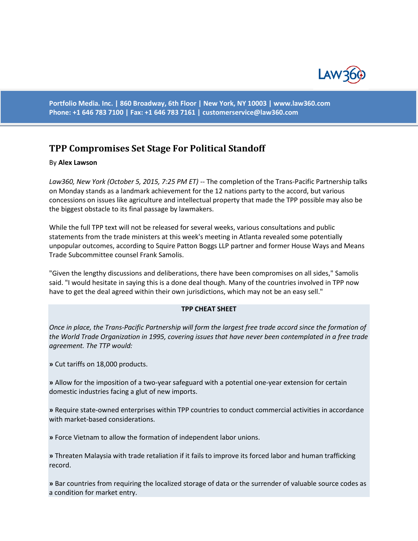

**Portfolio Media. Inc. | 860 Broadway, 6th Floor | New York, NY 10003 | www.law360.com Phone: +1 646 783 7100 | Fax: +1 646 783 7161 | [customerservice@law360.com](mailto:customerservice@law360.com)**

## **TPP Compromises Set Stage For Political Standoff**

## By **Alex Lawson**

*Law360, New York (October 5, 2015, 7:25 PM ET)* -- The completion of the Trans-Pacific Partnership talks on Monday stands as a landmark achievement for the 12 nations party to the accord, but various concessions on issues like agriculture and intellectual property that made the TPP possible may also be the biggest obstacle to its final passage by lawmakers.

While the full TPP text will not be released for several weeks, various consultations and public statements from the trade ministers at this week's meeting in Atlanta revealed some potentially unpopular outcomes, according to Squire Patton Boggs LLP partner and former House Ways and Means Trade Subcommittee counsel Frank Samolis.

"Given the lengthy discussions and deliberations, there have been compromises on all sides," Samolis said. "I would hesitate in saying this is a done deal though. Many of the countries involved in TPP now have to get the deal agreed within their own jurisdictions, which may not be an easy sell."

## **TPP CHEAT SHEET**

*Once in place, the Trans-Pacific Partnership will form the largest free trade accord since the formation of the World Trade Organization in 1995, covering issues that have never been contemplated in a free trade agreement. The TTP would:*

**»** Cut tariffs on 18,000 products.

**»** Allow for the imposition of a two-year safeguard with a potential one-year extension for certain domestic industries facing a glut of new imports.

**»** Require state-owned enterprises within TPP countries to conduct commercial activities in accordance with market-based considerations.

**»** Force Vietnam to allow the formation of independent labor unions.

**»** Threaten Malaysia with trade retaliation if it fails to improve its forced labor and human trafficking record.

**»** Bar countries from requiring the localized storage of data or the surrender of valuable source codes as a condition for market entry.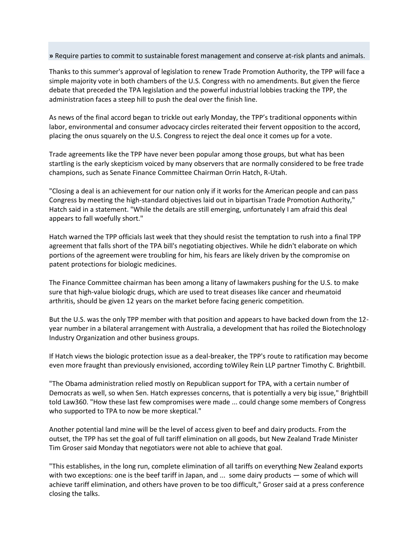**»** Require parties to commit to sustainable forest management and conserve at-risk plants and animals.

Thanks to this summer's approval of legislation to renew Trade Promotion Authority, the TPP will face a simple majority vote in both chambers of the U.S. Congress with no amendments. But given the fierce debate that preceded the TPA legislation and the powerful industrial lobbies tracking the TPP, the administration faces a steep hill to push the deal over the finish line.

As news of the final accord began to trickle out early Monday, the TPP's traditional opponents within labor, environmental and consumer advocacy circles reiterated their fervent opposition to the accord, placing the onus squarely on the U.S. Congress to reject the deal once it comes up for a vote.

Trade agreements like the TPP have never been popular among those groups, but what has been startling is the early skepticism voiced by many observers that are normally considered to be free trade champions, such as Senate Finance Committee Chairman Orrin Hatch, R-Utah.

"Closing a deal is an achievement for our nation only if it works for the American people and can pass Congress by meeting the high-standard objectives laid out in bipartisan Trade Promotion Authority," Hatch said in a statement. "While the details are still emerging, unfortunately I am afraid this deal appears to fall woefully short."

Hatch warned the TPP officials last week that they should resist the temptation to rush into a final TPP agreement that falls short of the TPA bill's negotiating objectives. While he didn't elaborate on which portions of the agreement were troubling for him, his fears are likely driven by the compromise on patent protections for biologic medicines.

The Finance Committee chairman has been among a litany of lawmakers pushing for the U.S. to make sure that high-value biologic drugs, which are used to treat diseases like cancer and rheumatoid arthritis, should be given 12 years on the market before facing generic competition.

But the U.S. was the only TPP member with that position and appears to have backed down from the 12 year number in a bilateral arrangement with Australia, a development that has roiled the Biotechnology Industry Organization and other business groups.

If Hatch views the biologic protection issue as a deal-breaker, the TPP's route to ratification may become even more fraught than previously envisioned, according toWiley Rein LLP partner Timothy C. Brightbill.

"The Obama administration relied mostly on Republican support for TPA, with a certain number of Democrats as well, so when Sen. Hatch expresses concerns, that is potentially a very big issue," Brightbill told Law360. "How these last few compromises were made ... could change some members of Congress who supported to TPA to now be more skeptical."

Another potential land mine will be the level of access given to beef and dairy products. From the outset, the TPP has set the goal of full tariff elimination on all goods, but New Zealand Trade Minister Tim Groser said Monday that negotiators were not able to achieve that goal.

"This establishes, in the long run, complete elimination of all tariffs on everything New Zealand exports with two exceptions: one is the beef tariff in Japan, and ... some dairy products — some of which will achieve tariff elimination, and others have proven to be too difficult," Groser said at a press conference closing the talks.